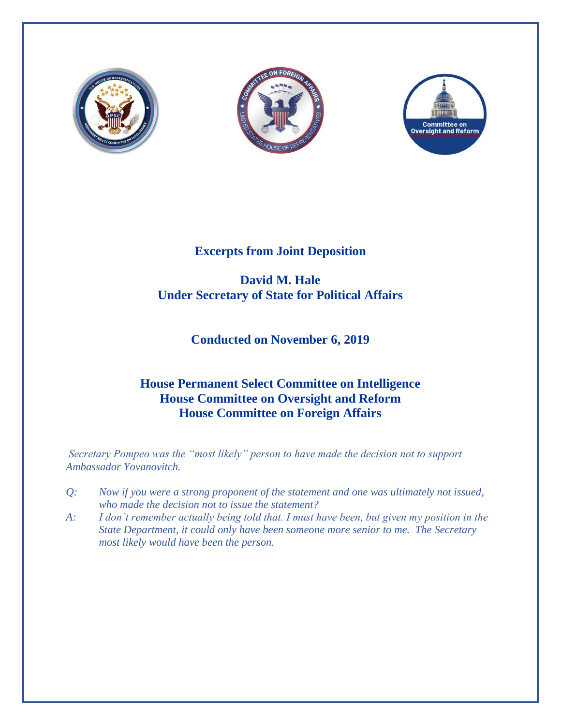





# **Excerpts from Joint Deposition**

### **David M. Hale Under Secretary of State for Political Affairs**

# **Conducted on November 6, 2019**

### **House Permanent Select Committee on Intelligence House Committee on Oversight and Reform House Committee on Foreign Affairs**

*Secretary Pompeo was the "most likely" person to have made the decision not to support Ambassador Yovanovitch.*

- *Q: Now if you were a strong proponent of the statement and one was ultimately not issued, who made the decision not to issue the statement?*
- *A: I don't remember actually being told that. I must have been, but given my position in the State Department, it could only have been someone more senior to me. The Secretary most likely would have been the person.*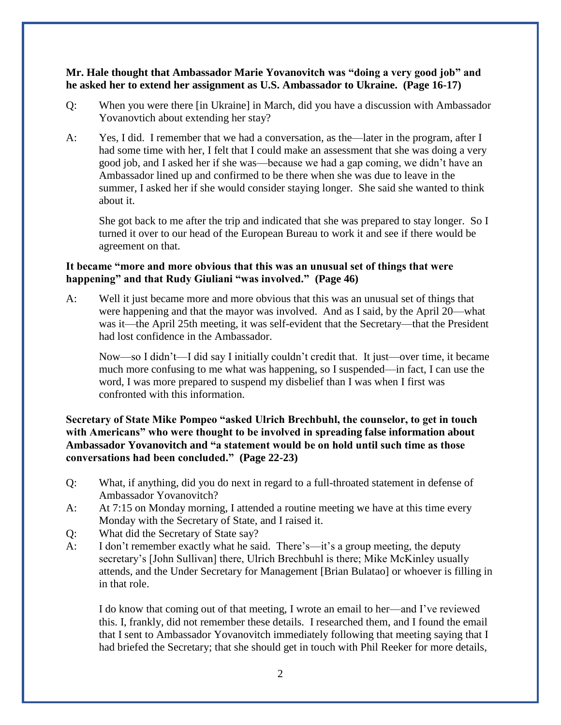#### **Mr. Hale thought that Ambassador Marie Yovanovitch was "doing a very good job" and he asked her to extend her assignment as U.S. Ambassador to Ukraine. (Page 16-17)**

- Q: When you were there [in Ukraine] in March, did you have a discussion with Ambassador Yovanovtich about extending her stay?
- A: Yes, I did. I remember that we had a conversation, as the—later in the program, after I had some time with her, I felt that I could make an assessment that she was doing a very good job, and I asked her if she was—because we had a gap coming, we didn't have an Ambassador lined up and confirmed to be there when she was due to leave in the summer, I asked her if she would consider staying longer. She said she wanted to think about it.

She got back to me after the trip and indicated that she was prepared to stay longer. So I turned it over to our head of the European Bureau to work it and see if there would be agreement on that.

#### **It became "more and more obvious that this was an unusual set of things that were happening" and that Rudy Giuliani "was involved." (Page 46)**

A: Well it just became more and more obvious that this was an unusual set of things that were happening and that the mayor was involved. And as I said, by the April 20—what was it—the April 25th meeting, it was self-evident that the Secretary—that the President had lost confidence in the Ambassador.

Now—so I didn't—I did say I initially couldn't credit that. It just—over time, it became much more confusing to me what was happening, so I suspended—in fact, I can use the word, I was more prepared to suspend my disbelief than I was when I first was confronted with this information.

#### **Secretary of State Mike Pompeo "asked Ulrich Brechbuhl, the counselor, to get in touch with Americans" who were thought to be involved in spreading false information about Ambassador Yovanovitch and "a statement would be on hold until such time as those conversations had been concluded." (Page 22-23)**

- Q: What, if anything, did you do next in regard to a full-throated statement in defense of Ambassador Yovanovitch?
- A: At 7:15 on Monday morning, I attended a routine meeting we have at this time every Monday with the Secretary of State, and I raised it.
- Q: What did the Secretary of State say?
- A: I don't remember exactly what he said. There's—it's a group meeting, the deputy secretary's [John Sullivan] there, Ulrich Brechbuhl is there; Mike McKinley usually attends, and the Under Secretary for Management [Brian Bulatao] or whoever is filling in in that role.

I do know that coming out of that meeting, I wrote an email to her—and I've reviewed this. I, frankly, did not remember these details. I researched them, and I found the email that I sent to Ambassador Yovanovitch immediately following that meeting saying that I had briefed the Secretary; that she should get in touch with Phil Reeker for more details,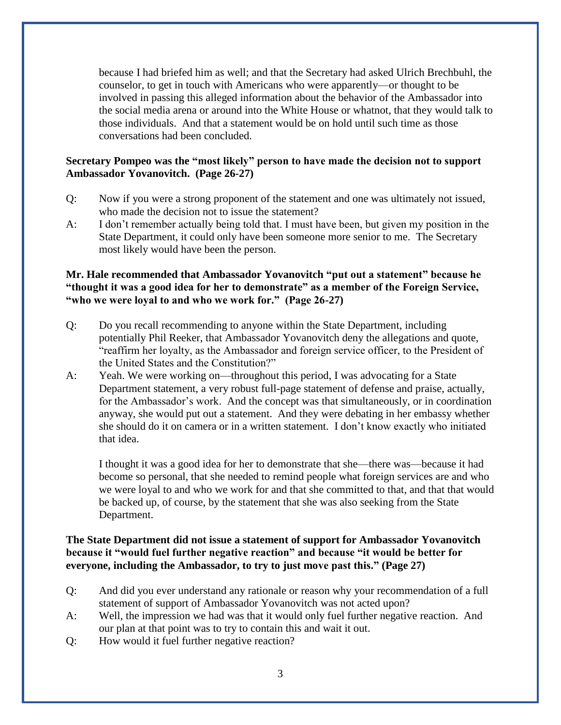because I had briefed him as well; and that the Secretary had asked Ulrich Brechbuhl, the counselor, to get in touch with Americans who were apparently—or thought to be involved in passing this alleged information about the behavior of the Ambassador into the social media arena or around into the White House or whatnot, that they would talk to those individuals. And that a statement would be on hold until such time as those conversations had been concluded.

#### **Secretary Pompeo was the "most likely" person to have made the decision not to support Ambassador Yovanovitch. (Page 26-27)**

- Q: Now if you were a strong proponent of the statement and one was ultimately not issued, who made the decision not to issue the statement?
- A: I don't remember actually being told that. I must have been, but given my position in the State Department, it could only have been someone more senior to me. The Secretary most likely would have been the person.

#### **Mr. Hale recommended that Ambassador Yovanovitch "put out a statement" because he "thought it was a good idea for her to demonstrate" as a member of the Foreign Service, "who we were loyal to and who we work for." (Page 26-27)**

- Q: Do you recall recommending to anyone within the State Department, including potentially Phil Reeker, that Ambassador Yovanovitch deny the allegations and quote, "reaffirm her loyalty, as the Ambassador and foreign service officer, to the President of the United States and the Constitution?"
- A: Yeah. We were working on—throughout this period, I was advocating for a State Department statement, a very robust full-page statement of defense and praise, actually, for the Ambassador's work. And the concept was that simultaneously, or in coordination anyway, she would put out a statement. And they were debating in her embassy whether she should do it on camera or in a written statement. I don't know exactly who initiated that idea.

I thought it was a good idea for her to demonstrate that she—there was—because it had become so personal, that she needed to remind people what foreign services are and who we were loyal to and who we work for and that she committed to that, and that that would be backed up, of course, by the statement that she was also seeking from the State Department.

#### **The State Department did not issue a statement of support for Ambassador Yovanovitch because it "would fuel further negative reaction" and because "it would be better for everyone, including the Ambassador, to try to just move past this." (Page 27)**

- Q: And did you ever understand any rationale or reason why your recommendation of a full statement of support of Ambassador Yovanovitch was not acted upon?
- A: Well, the impression we had was that it would only fuel further negative reaction. And our plan at that point was to try to contain this and wait it out.
- Q: How would it fuel further negative reaction?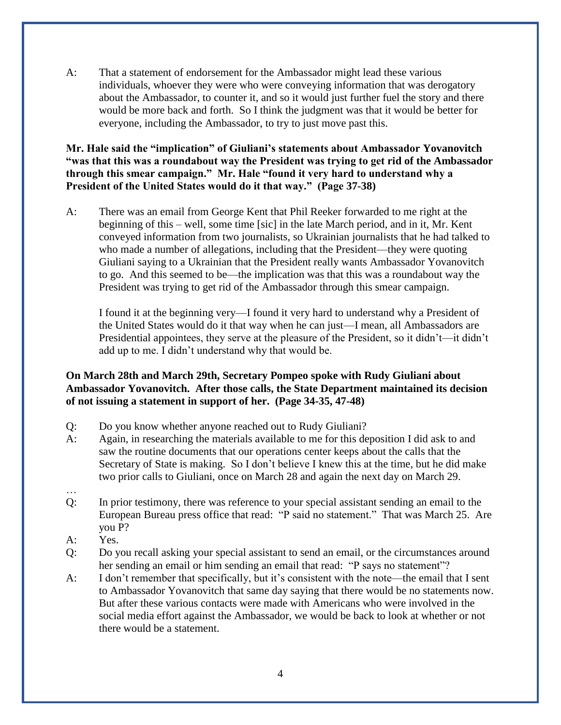A: That a statement of endorsement for the Ambassador might lead these various individuals, whoever they were who were conveying information that was derogatory about the Ambassador, to counter it, and so it would just further fuel the story and there would be more back and forth. So I think the judgment was that it would be better for everyone, including the Ambassador, to try to just move past this.

**Mr. Hale said the "implication" of Giuliani's statements about Ambassador Yovanovitch "was that this was a roundabout way the President was trying to get rid of the Ambassador through this smear campaign." Mr. Hale "found it very hard to understand why a President of the United States would do it that way." (Page 37-38)**

A: There was an email from George Kent that Phil Reeker forwarded to me right at the beginning of this – well, some time [sic] in the late March period, and in it, Mr. Kent conveyed information from two journalists, so Ukrainian journalists that he had talked to who made a number of allegations, including that the President—they were quoting Giuliani saying to a Ukrainian that the President really wants Ambassador Yovanovitch to go. And this seemed to be—the implication was that this was a roundabout way the President was trying to get rid of the Ambassador through this smear campaign.

I found it at the beginning very—I found it very hard to understand why a President of the United States would do it that way when he can just—I mean, all Ambassadors are Presidential appointees, they serve at the pleasure of the President, so it didn't—it didn't add up to me. I didn't understand why that would be.

### **On March 28th and March 29th, Secretary Pompeo spoke with Rudy Giuliani about Ambassador Yovanovitch. After those calls, the State Department maintained its decision of not issuing a statement in support of her. (Page 34-35, 47-48)**

- Q: Do you know whether anyone reached out to Rudy Giuliani?
- A: Again, in researching the materials available to me for this deposition I did ask to and saw the routine documents that our operations center keeps about the calls that the Secretary of State is making. So I don't believe I knew this at the time, but he did make two prior calls to Giuliani, once on March 28 and again the next day on March 29.
- …
- Q: In prior testimony, there was reference to your special assistant sending an email to the European Bureau press office that read: "P said no statement." That was March 25. Are you P?
- A: Yes.
- Q: Do you recall asking your special assistant to send an email, or the circumstances around her sending an email or him sending an email that read: "P says no statement"?
- A: I don't remember that specifically, but it's consistent with the note—the email that I sent to Ambassador Yovanovitch that same day saying that there would be no statements now. But after these various contacts were made with Americans who were involved in the social media effort against the Ambassador, we would be back to look at whether or not there would be a statement.